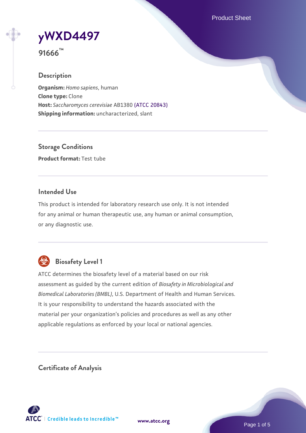Product Sheet

**[yWXD4497](https://www.atcc.org/products/91666)**



#### **Description**

**Organism:** *Homo sapiens*, human **Clone type:** Clone **Host:** *Saccharomyces cerevisiae* AB1380 [\(ATCC 20843\)](https://www.atcc.org/products/20843) **Shipping information:** uncharacterized, slant

**Storage Conditions Product format:** Test tube

### **Intended Use**

This product is intended for laboratory research use only. It is not intended for any animal or human therapeutic use, any human or animal consumption, or any diagnostic use.



# **Biosafety Level 1**

ATCC determines the biosafety level of a material based on our risk assessment as guided by the current edition of *Biosafety in Microbiological and Biomedical Laboratories (BMBL)*, U.S. Department of Health and Human Services. It is your responsibility to understand the hazards associated with the material per your organization's policies and procedures as well as any other applicable regulations as enforced by your local or national agencies.

**Certificate of Analysis**

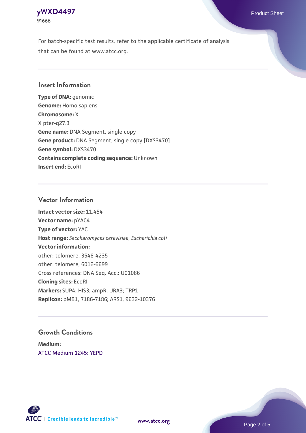

For batch-specific test results, refer to the applicable certificate of analysis that can be found at www.atcc.org.

### **Insert Information**

**Type of DNA:** genomic **Genome:** Homo sapiens **Chromosome:** X X pter-q27.3 **Gene name:** DNA Segment, single copy **Gene product:** DNA Segment, single copy [DXS3470] **Gene symbol:** DXS3470 **Contains complete coding sequence:** Unknown **Insert end:** EcoRI

#### **Vector Information**

**Intact vector size:** 11.454 **Vector name:** pYAC4 **Type of vector:** YAC **Host range:** *Saccharomyces cerevisiae*; *Escherichia coli* **Vector information:** other: telomere, 3548-4235 other: telomere, 6012-6699 Cross references: DNA Seq. Acc.: U01086 **Cloning sites:** EcoRI **Markers:** SUP4; HIS3; ampR; URA3; TRP1 **Replicon:** pMB1, 7186-7186; ARS1, 9632-10376

### **Growth Conditions**

**Medium:**  [ATCC Medium 1245: YEPD](https://www.atcc.org/-/media/product-assets/documents/microbial-media-formulations/1/2/4/5/atcc-medium-1245.pdf?rev=705ca55d1b6f490a808a965d5c072196)



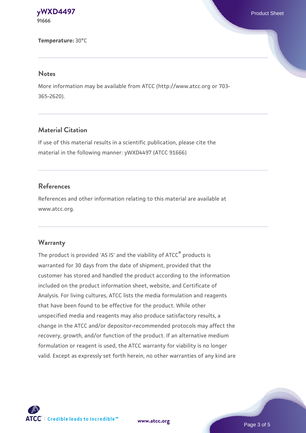**[yWXD4497](https://www.atcc.org/products/91666)** Product Sheet **91666**

**Temperature:** 30°C

#### **Notes**

More information may be available from ATCC (http://www.atcc.org or 703- 365-2620).

# **Material Citation**

If use of this material results in a scientific publication, please cite the material in the following manner: yWXD4497 (ATCC 91666)

#### **References**

References and other information relating to this material are available at www.atcc.org.

#### **Warranty**

The product is provided 'AS IS' and the viability of ATCC® products is warranted for 30 days from the date of shipment, provided that the customer has stored and handled the product according to the information included on the product information sheet, website, and Certificate of Analysis. For living cultures, ATCC lists the media formulation and reagents that have been found to be effective for the product. While other unspecified media and reagents may also produce satisfactory results, a change in the ATCC and/or depositor-recommended protocols may affect the recovery, growth, and/or function of the product. If an alternative medium formulation or reagent is used, the ATCC warranty for viability is no longer valid. Except as expressly set forth herein, no other warranties of any kind are



**[www.atcc.org](http://www.atcc.org)**

Page 3 of 5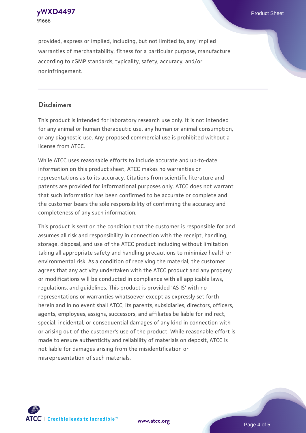**91666**

provided, express or implied, including, but not limited to, any implied warranties of merchantability, fitness for a particular purpose, manufacture according to cGMP standards, typicality, safety, accuracy, and/or noninfringement.

### **Disclaimers**

This product is intended for laboratory research use only. It is not intended for any animal or human therapeutic use, any human or animal consumption, or any diagnostic use. Any proposed commercial use is prohibited without a license from ATCC.

While ATCC uses reasonable efforts to include accurate and up-to-date information on this product sheet, ATCC makes no warranties or representations as to its accuracy. Citations from scientific literature and patents are provided for informational purposes only. ATCC does not warrant that such information has been confirmed to be accurate or complete and the customer bears the sole responsibility of confirming the accuracy and completeness of any such information.

This product is sent on the condition that the customer is responsible for and assumes all risk and responsibility in connection with the receipt, handling, storage, disposal, and use of the ATCC product including without limitation taking all appropriate safety and handling precautions to minimize health or environmental risk. As a condition of receiving the material, the customer agrees that any activity undertaken with the ATCC product and any progeny or modifications will be conducted in compliance with all applicable laws, regulations, and guidelines. This product is provided 'AS IS' with no representations or warranties whatsoever except as expressly set forth herein and in no event shall ATCC, its parents, subsidiaries, directors, officers, agents, employees, assigns, successors, and affiliates be liable for indirect, special, incidental, or consequential damages of any kind in connection with or arising out of the customer's use of the product. While reasonable effort is made to ensure authenticity and reliability of materials on deposit, ATCC is not liable for damages arising from the misidentification or misrepresentation of such materials.



**[www.atcc.org](http://www.atcc.org)**

Page 4 of 5